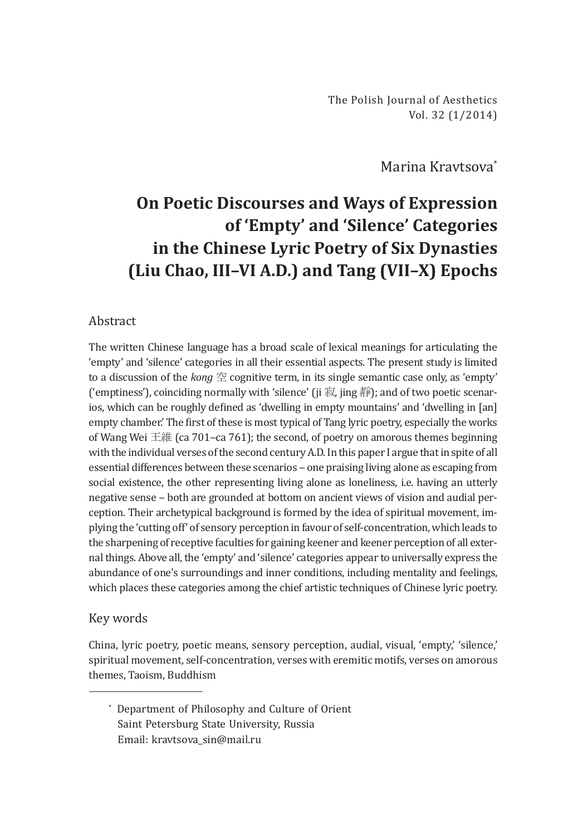Marina Kravtsova\*

# **On Poetic Discourses and Ways of Expression of 'Empty' and 'Silence' Categories in the Chinese Lyric Poetry of Six Dynasties (Liu Сhao, III–VI A.D.) and Tang (VII–X) Epochs**

## Abstract

The written Chinese language has a broad scale of lexical meanings for articulating the 'empty' and 'silence' categories in all their essential aspects. The present study is limited to a discussion of the *kong* 空 cognitive term, in its single semantic case only, as 'empty' ('emptiness'), coinciding normally with 'silence' (ji 寂, jing 靜); and of two poetic scenarios, which can be roughly defined as 'dwelling in empty mountains' and 'dwelling in [an] empty chamber.' The first of these is most typical of Tang lyric poetry, especially the works of Wang Wei 王維 (ca 701–ca 761); the second, of poetry on amorous themes beginning with the individual verses of the second century A.D. In this paper I argue that in spite of all essential differences between these scenarios ‒ one praising living alone as escaping from social existence, the other representing living alone as loneliness, i.e. having an utterly negative sense ‒ both are grounded at bottom on ancient views of vision and audial perception. Their archetypical background is formed by the idea of spiritual movement, implying the 'cutting off' of sensory perception in favour of self-concentration, which leads to the sharpening of receptive faculties for gaining keener and keener perception of all external things. Above all, the 'empty' and 'silence' categories appear to universally express the abundance of one's surroundings and inner conditions, including mentality and feelings, which places these categories among the chief artistic techniques of Chinese lyric poetry.

## Key words

China, lyric poetry, poetic means, sensory perception, audial, visual, 'empty,' 'silence,' spiritual movement, self-concentration, verses with eremitic motifs, verses on amorous themes, Taoism, Buddhism

\* Department of Philosophy and Culture of Orient Saint Petersburg State University, Russia Email: kravtsova\_sin@mail.ru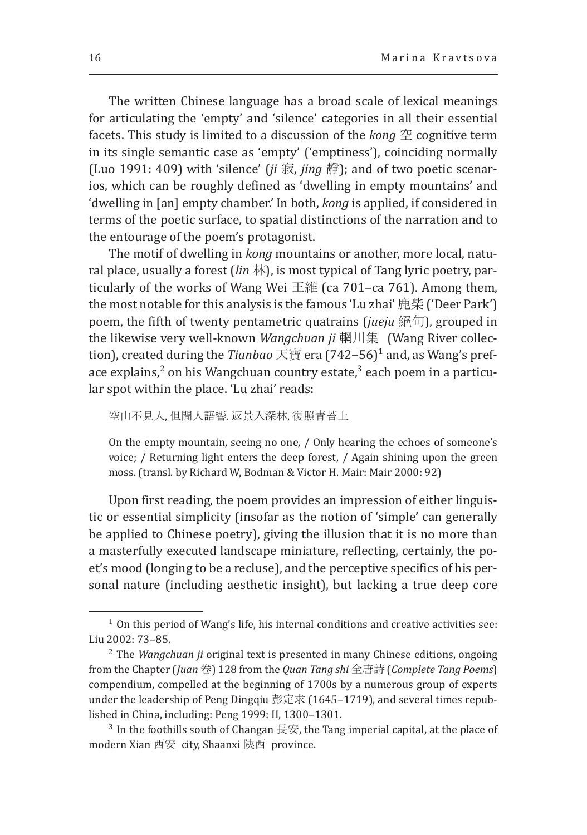The written Chinese language has a broad scale of lexical meanings for articulating the 'empty' and 'silence' categories in all their essential facets. This study is limited to a discussion of the *kong* 空 cognitive term in its single semantic case as 'empty' ('emptiness'), coinciding normally (Luo 1991: 409) with 'silence' (*ji* 寂, *jing* 靜); and of two poetic scenarios, which can be roughly defined as 'dwelling in empty mountains' and 'dwelling in [an] empty chamber.' In both, *kong* is applied, if considered in terms of the poetic surface, to spatial distinctions of the narration and to the entourage of the poem's protagonist.

The motif of dwelling in *kong* mountains or another, more local, natural place, usually a forest (*lin* 林), is most typical of Tang lyric poetry, particularly of the works of Wang Wei 王維 (ca 701–ca 761). Among them, the most notable for this analysis is the famous ʻLu zhai' 鹿柴 ('Deer Park') poem, the fifth of twenty pentametric quatrains (*jueju* 絕句), grouped in the likewise very well-known *Wangchuan ji* 輞川集 (Wang River collection), created during the *Tianbao* 天寶 era (742‒56)<sup>1</sup> and, as Wang's preface explains,<sup>2</sup> on his Wangchuan country estate,<sup>3</sup> each poem in a particular spot within the place. 'Lu zhai' reads:

```
空山不見人, 但聞人語響. 返景入深林, 復照青苔上
```
On the empty mountain, seeing no one, / Only hearing the echoes of someone's voice; / Returning light enters the deep forest, / Again shining upon the green moss. (transl. by Richard W, Bodman & Victor H. Mair: Mair 2000: 92)

Upon first reading, the poem provides an impression of either linguistic or essential simplicity (insofar as the notion of 'simple' can generally be applied to Chinese poetry), giving the illusion that it is no more than a masterfully executed landscape miniature, reflecting, certainly, the poet's mood (longing to be a recluse), and the perceptive specifics of his personal nature (including aesthetic insight), but lacking a true deep core

 $1$  On this period of Wang's life, his internal conditions and creative activities see: Liu 2002: 73-85.

<sup>&</sup>lt;sup>2</sup> The *Wangchuan ji* original text is presented in many Chinese editions, ongoing from the Chapter (*Juan* 卷) 128 from the *Quan Tang shi* 全唐詩 (*Complete Tang Poems*) compendium, compelled at the beginning of 1700s by a numerous group of experts under the leadership of Peng Dingqiu 彭定求 (1645–1719), and several times repub-<br>lished in China, including: Peng 1999: II, 1300–1301.

<sup>&</sup>lt;sup>3</sup> In the foothills south of Changan 長安, the Tang imperial capital, at the place of modern Xian 西安 city, Shaanxi 陝西 province.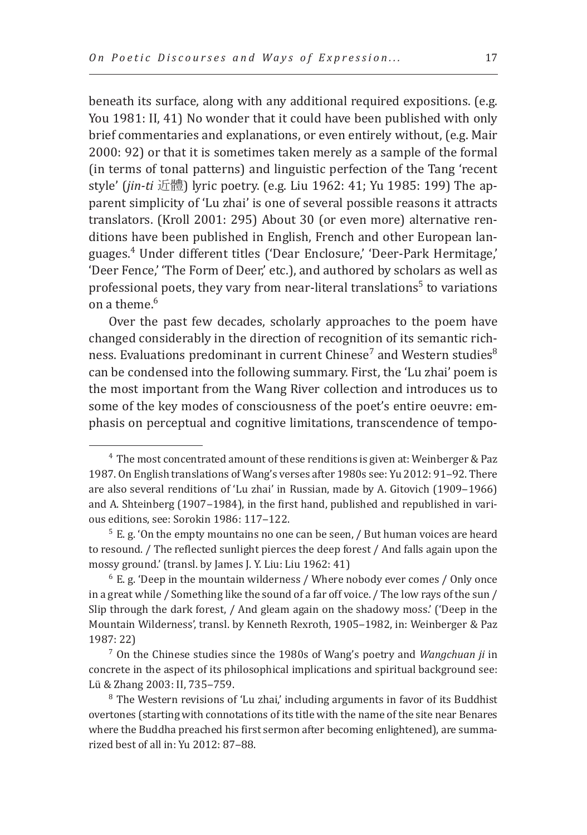beneath its surface, along with any additional required expositions. (e.g. You 1981: II, 41) No wonder that it could have been published with only brief commentaries and explanations, or even entirely without, (e.g. Mair 2000: 92) or that it is sometimes taken merely as a sample of the formal (in terms of tonal patterns) and linguistic perfection of the Tang 'recent style' (*jin-ti* 近體) lyric poetry. (e.g. Liu 1962: 41; Yu 1985: 199) The apparent simplicity of 'Lu zhai' is one of several possible reasons it attracts translators. (Kroll 2001: 295) About 30 (or even more) alternative renditions have been published in English, French and other European languages.<sup>4</sup> Under different titles ('Dear Enclosure,' 'Deer-Park Hermitage,' 'Deer Fence,' 'The Form of Deer,' etc.), and authored by scholars as well as professional poets, they vary from near-literal translations<sup>5</sup> to variations on a theme. $6$ 

Over the past few decades, scholarly approaches to the poem have changed considerably in the direction of recognition of its semantic richness. Evaluations predominant in current  $\mathsf{Chinese}'$  and Western studies $^8$ can be condensed into the following summary. First, the 'Lu zhai' poem is the most important from the Wang River collection and introduces us to some of the key modes of consciousness of the poet's entire oeuvre: emphasis on perceptual and cognitive limitations, transcendence of tempo-

<sup>4</sup> The most concentrated amount of these renditions is given at: Weinberger & Paz 1987. On English translations of Wang's verses after 1980s see: Yu 2012: 91-92. There are also several renditions of 'Lu zhai' in Russian, made by A. Gitovich (1909–1966) and A. Shteinberg (1907-1984), in the first hand, published and republished in various editions, see: Sorokin 1986: 117-122.

 $5$  E. g. 'On the empty mountains no one can be seen,  $\prime$  But human voices are heard to resound. / The reflected sunlight pierces the deep forest / And falls again upon the mossy ground.' (transl. by James J. Y. Liu: Liu 1962: 41)

 $6$  E. g. 'Deep in the mountain wilderness / Where nobody ever comes / Only once in a great while / Something like the sound of a far off voice. / The low rays of the sun / Slip through the dark forest, / And gleam again on the shadowy moss.' ('Deep in the Mountain Wilderness', transl. by Kenneth Rexroth, 1905-1982, in: Weinberger & Paz 1987: 22)

<sup>7</sup> On the Chinese studies since the 1980s of Wang's poetry and *Wangchuan ji* in concrete in the aspect of its philosophical implications and spiritual background see: Lü & Zhang 2003: II, 735-759.

<sup>&</sup>lt;sup>8</sup> The Western revisions of 'Lu zhai,' including arguments in favor of its Buddhist overtones (starting with connotations of its title with the name of the site near Benares where the Buddha preached his first sermon after becoming enlightened), are summarized best of all in: Yu 2012: 87‒88.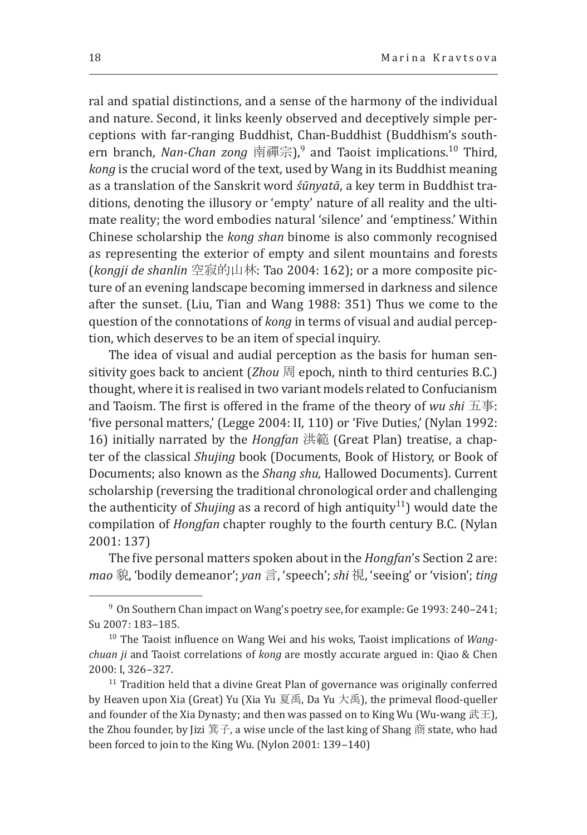ral and spatial distinctions, and a sense of the harmony of the individual and nature. Second, it links keenly observed and deceptively simple perceptions with far-ranging Buddhist, Chan-Buddhist (Buddhism's southern branch, *Nan-Chan zong* 南禪宗),9 and Taoist implications.10 Third, *kong* is the crucial word of the text, used by Wang in its Buddhist meaning as a translation of the Sanskrit word *śūnyatā*, a key term in Buddhist traditions, denoting the illusory or 'empty' nature of all reality and the ultimate reality; the word embodies natural 'silence' and 'emptiness.' Within Chinese scholarship the *kong shan* binome is also commonly recognised as representing the exterior of empty and silent mountains and forests (*kongji de shanlin* 空寂的山林: Tao 2004: 162); or a more composite picture of an evening landscape becoming immersed in darkness and silence after the sunset. (Liu, Tian and Wang 1988: 351) Thus we come to the question of the connotations of *kong* in terms of visual and audial perception, which deserves to be an item of special inquiry.

The idea of visual and audial perception as the basis for human sensitivity goes back to ancient (*Zhou* 周 epoch, ninth to third centuries B.C.) thought, where it is realised in two variant models related to Confucianism and Taoism. The first is offered in the frame of the theory of *wu shi* 五事: 'five personal matters,' (Legge 2004: II, 110) or 'Five Duties,' (Nylan 1992: 16) initially narrated by the *Hongfan* 洪範 (Great Plan) treatise, a chapter of the classical *Shujing* book (Documents, Book of History, or Book of Documents; also known as the *Shang shu,* Hallowed Documents). Current scholarship (reversing the traditional chronological order and challenging the authenticity of *Shujing* as a record of high antiquity<sup>11</sup>) would date the compilation of *Hongfan* chapter roughly to the fourth century B.C. (Nylan 2001: 137)

The five personal matters spoken about in the *Hongfan*'s Section 2 are: *mao* 貌, 'bodily demeanor'; *yan* 言, 'speech'; *shi* 視, 'seeing' or 'vision'; *ting*

 $9$  On Southern Chan impact on Wang's poetry see, for example: Ge 1993: 240–241; Su 2007: 183-185.

<sup>10</sup> The Taoist influence on Wang Wei and his woks, Taoist implications of *Wangchuan ji* and Taoist correlations of *kong* are mostly accurate argued in: Qiao & Chen 2000: I, 326‒327.

 $11$  Tradition held that a divine Great Plan of governance was originally conferred by Heaven upon Xia (Great) Yu (Xia Yu 夏禹, Da Yu 大禹), the primeval flood-queller and founder of the Xia Dynasty; and then was passed on to King Wu (Wu-wang  $\mathbb{R} \mathbb{H}$ ), the Zhou founder, by Jizi 箕子, a wise uncle of the last king of Shang 商 state, who had been forced to join to the King Wu. (Nylon 2001: 139-140)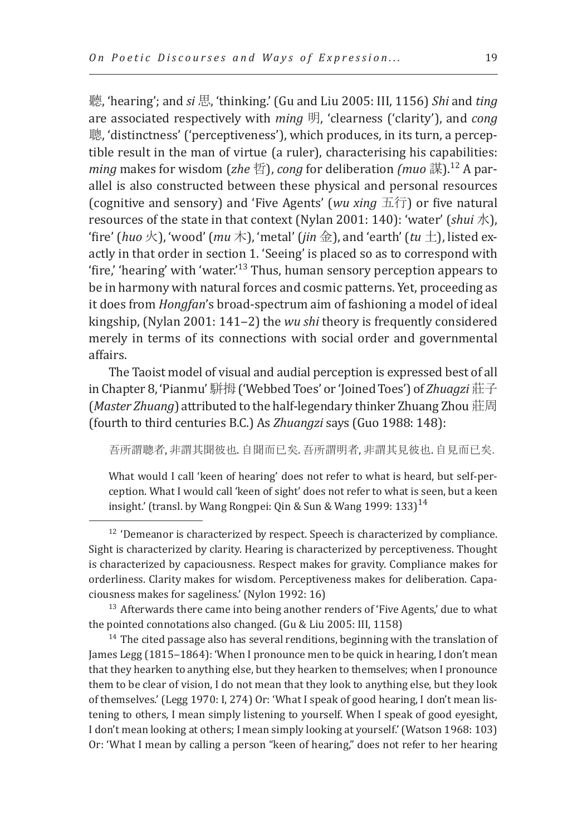聽, 'hearing'; and *si* 思, 'thinking.' (Gu and Liu 2005: III, 1156) *Shi* and *ting* are associated respectively with *ming* 明, 'clearness ('clarity'), and *cong* 聰, 'distinctness' ('perceptiveness'), which produces, in its turn, a perceptible result in the man of virtue (a ruler), characterising his capabilities: *ming* makes for wisdom (*zhe* 哲), *cong* for deliberation *(muo* 謀).12 A parallel is also constructed between these physical and personal resources (cognitive and sensory) and 'Five Agents' (*wu xing* 五行) or five natural resources of the state in that context (Nylan 2001: 140): 'water' (*shui* 水), 'fire' (*huo*  $\angle$ ), 'wood' (*mu*  $\angle$ ), 'metal' (*jin* 金), and 'earth' (*tu*  $\pm$ ), listed exactly in that order in section 1. 'Seeing' is placed so as to correspond with 'fire,' 'hearing' with 'water.'13 Thus, human sensory perception appears to be in harmony with natural forces and cosmic patterns. Yet, proceeding as it does from *Hongfan*'s broad-spectrum aim of fashioning a model of ideal kingship, (Nylan 2001: 141‒2) the *wu shi* theory is frequently considered merely in terms of its connections with social order and governmental affairs.

The Taoist model of visual and audial perception is expressed best of all in Chapter 8, 'Pianmu'駢拇('Webbed Toes' or 'Joined Toes') of *Zhuagzi* 莊子 (*Master Zhuang*) attributed to the half-legendary thinker Zhuang Zhou 莊周 (fourth to third centuries B.C.) As *Zhuangzi* says (Guo 1988: 148):

吾所謂聰者, 非謂其聞彼也. 自聞而已矣. 吾所謂明者, 非謂其見彼也. 自見而已矣.

What would I call 'keen of hearing' does not refer to what is heard, but self-perception. What I would call 'keen of sight' does not refer to what is seen, but a keen insight.' (transl. by Wang Rongpei: Qin & Sun & Wang 1999: 133)<sup>14</sup>

<sup>12</sup> 'Demeanor is characterized by respect. Speech is characterized by compliance. Sight is characterized by clarity. Hearing is characterized by perceptiveness. Thought is characterized by capaciousness. Respect makes for gravity. Compliance makes for orderliness. Clarity makes for wisdom. Perceptiveness makes for deliberation. Capaciousness makes for sageliness.' (Nylon 1992: 16)

<sup>13</sup> Afterwards there came into being another renders of 'Five Agents,' due to what the pointed connotations also changed. (Gu & Liu 2005: III, 1158)

 $^{14}$  The cited passage also has several renditions, beginning with the translation of James Legg (1815-1864): 'When I pronounce men to be quick in hearing, I don't mean that they hearken to anything else, but they hearken to themselves; when I pronounce them to be clear of vision, I do not mean that they look to anything else, but they look of themselves.' (Legg 1970: I, 274) Or: 'What I speak of good hearing, I don't mean listening to others, I mean simply listening to yourself. When I speak of good eyesight, I don't mean looking at others; I mean simply looking at yourself.' (Watson 1968: 103) Or: 'What I mean by calling a person "keen of hearing," does not refer to her hearing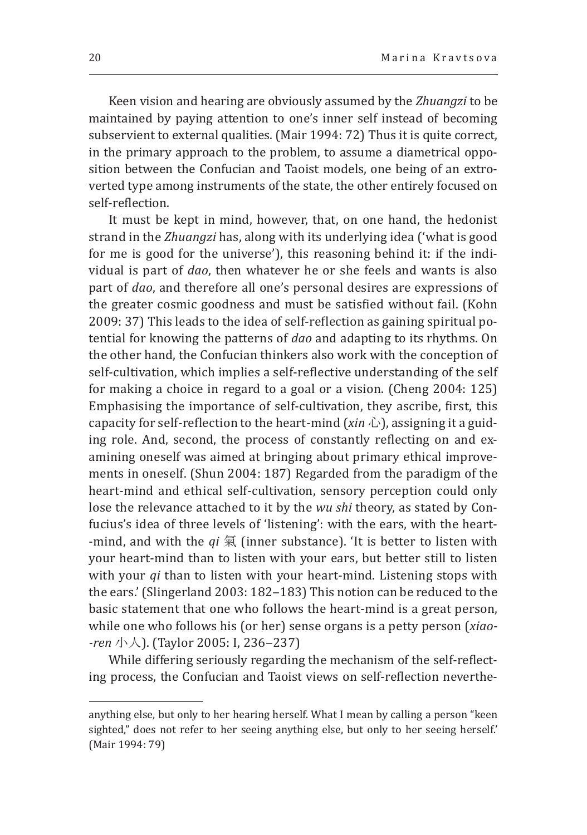Keen vision and hearing are obviously assumed by the *Zhuangzi* to be maintained by paying attention to one's inner self instead of becoming subservient to external qualities. (Mair 1994: 72) Thus it is quite correct, in the primary approach to the problem, to assume a diametrical opposition between the Confucian and Taoist models, one being of an extroverted type among instruments of the state, the other entirely focused on self-reflection.

It must be kept in mind, however, that, on one hand, the hedonist strand in the *Zhuangzi* has, along with its underlying idea ('what is good for me is good for the universe'), this reasoning behind it: if the individual is part of *dao*, then whatever he or she feels and wants is also part of *dao*, and therefore all one's personal desires are expressions of the greater cosmic goodness and must be satisfied without fail. (Kohn 2009: 37) This leads to the idea of self-reflection as gaining spiritual potential for knowing the patterns of *dao* and adapting to its rhythms. On the other hand, the Confucian thinkers also work with the conception of self-cultivation, which implies a self-reflective understanding of the self for making a choice in regard to a goal or a vision. (Cheng 2004: 125) Emphasising the importance of self-cultivation, they ascribe, first, this capacity for self-reflection to the heart-mind (*xin* 心), assigning it a guiding role. And, second, the process of constantly reflecting on and examining oneself was aimed at bringing about primary ethical improvements in oneself. (Shun 2004: 187) Regarded from the paradigm of the heart-mind and ethical self-cultivation, sensory perception could only lose the relevance attached to it by the *wu shi* theory, as stated by Confucius's idea of three levels of 'listening': with the ears, with the heart- -mind, and with the *qi* 氣 (inner substance). 'It is better to listen with your heart-mind than to listen with your ears, but better still to listen with your *qi* than to listen with your heart-mind. Listening stops with the ears.' (Slingerland 2003: 182-183) This notion can be reduced to the basic statement that one who follows the heart-mind is a great person, while one who follows his (or her) sense organs is a petty person (*xiao- -ren* 小人). (Taylor 2005: I, 236–237)

While differing seriously regarding the mechanism of the self-reflecting process, the Confucian and Taoist views on self-reflection neverthe-

anything else, but only to her hearing herself. What I mean by calling a person "keen sighted," does not refer to her seeing anything else, but only to her seeing herself.' (Mair 1994: 79)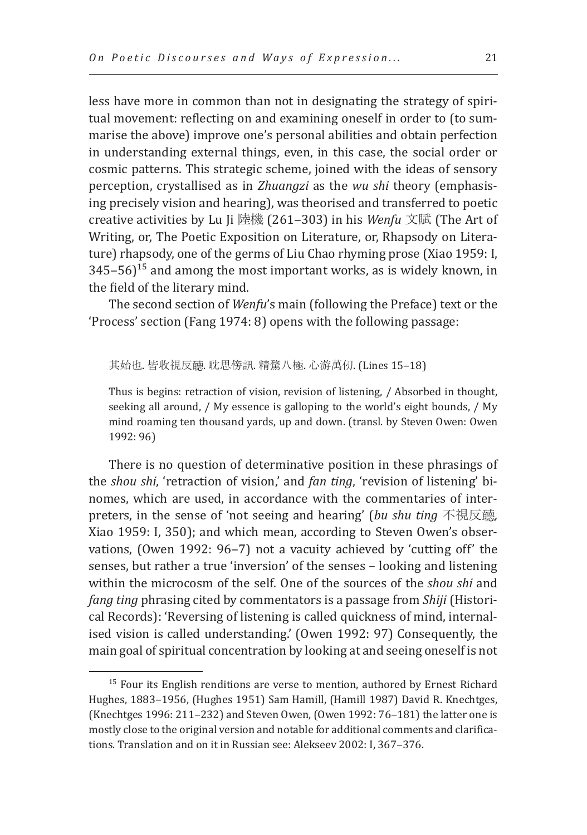less have more in common than not in designating the strategy of spiritual movement: reflecting on and examining oneself in order to (to summarise the above) improve one's personal abilities and obtain perfection in understanding external things, even, in this case, the social order or cosmic patterns. This strategic scheme, joined with the ideas of sensory perception, crystallised as in *Zhuangzi* as the *wu shi* theory (emphasising precisely vision and hearing), was theorised and transferred to poetic creative activities by Lu Ji 陸機 (261‒303) in his *Wenfu* 文賦 (The Art of Writing, or, The Poetic Exposition on Literature, or, Rhapsody on Literature) rhapsody, one of the germs of Liu Chao rhyming prose (Xiao 1959: I,  $345-56$ <sup>15</sup> and among the most important works, as is widely known, in the field of the literary mind.

The second section of *Wenfu*'s main (following the Preface) text or the 'Process' section (Fang 1974: 8) opens with the following passage:

#### 其始也. 皆收視反聽. 耽思傍訊. 精騖八極. 心游萬仞. (Lines 15-18)

Thus is begins: retraction of vision, revision of listening, / Absorbed in thought, seeking all around, / My essence is galloping to the world's eight bounds, / My mind roaming ten thousand yards, up and down. (transl. by Steven Owen: Owen 1992: 96)

There is no question of determinative position in these phrasings of the *shou shi*, 'retraction of vision,' and *fan ting*, 'revision of listening' binomes, which are used, in accordance with the commentaries of interpreters, in the sense of 'not seeing and hearing' (*bu shu ting* 不視反聼*,*  Xiao 1959: I, 350); and which mean, according to Steven Owen's observations, (Owen 1992: 96-7) not a vacuity achieved by 'cutting off' the senses, but rather a true 'inversion' of the senses – looking and listening within the microcosm of the self. One of the sources of the *shou shi* and *fang ting* phrasing cited by commentators is a passage from *Shiji* (Historical Records): 'Reversing of listening is called quickness of mind, internalised vision is called understanding.' (Owen 1992: 97) Consequently, the main goal of spiritual concentration by looking at and seeing oneself is not

 $15$  Four its English renditions are verse to mention, authored by Ernest Richard Hughes, 1883-1956, (Hughes 1951) Sam Hamill, (Hamill 1987) David R. Knechtges, (Knechtges 1996: 211-232) and Steven Owen, (Owen 1992: 76-181) the latter one is mostly close to the original version and notable for additional comments and clarifications. Translation and on it in Russian see: Alekseev 2002: I, 367-376.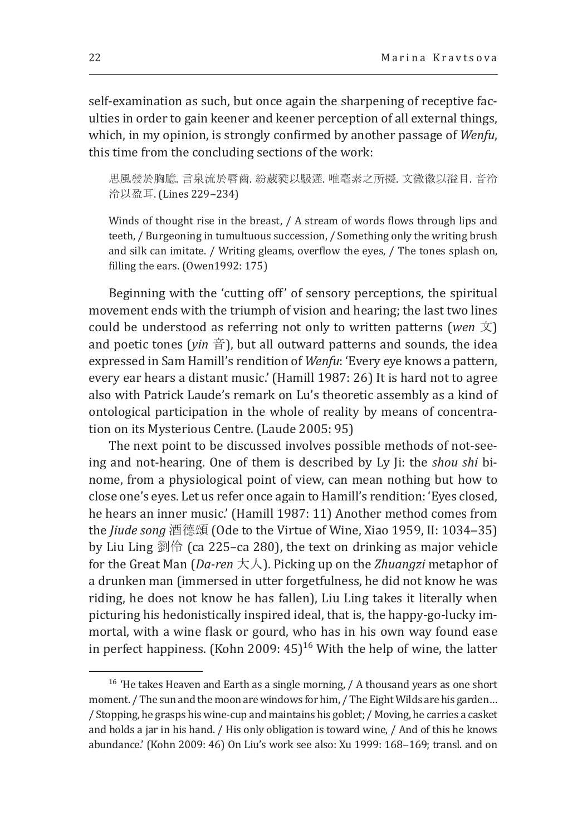self-examination as such, but once again the sharpening of receptive faculties in order to gain keener and keener perception of all external things, which, in my opinion, is strongly confirmed by another passage of *Wenfu*, this time from the concluding sections of the work:

思風發於胸臆. 言泉流於唇齒. 紛葳甤以馺遝. 唯毫素之所擬. 文徽徽以溢目. 音泠 泠以盈耳. (Lines 229‒234)

Winds of thought rise in the breast, / A stream of words flows through lips and teeth, / Burgeoning in tumultuous succession, / Something only the writing brush and silk can imitate. / Writing gleams, overflow the eyes, / The tones splash on, filling the ears. (Owen1992: 175)

Beginning with the 'cutting off' of sensory perceptions, the spiritual movement ends with the triumph of vision and hearing; the last two lines could be understood as referring not only to written patterns (*wen* 文) and poetic tones ( $\sin \frac{x}{2}$ ), but all outward patterns and sounds, the idea expressed in Sam Hamill's rendition of *Wenfu*: 'Every eye knows a pattern, every ear hears a distant music.' (Hamill 1987: 26) It is hard not to agree also with Patrick Laude's remark on Lu's theoretic assembly as a kind of ontological participation in the whole of reality by means of concentration on its Mysterious Centre. (Laude 2005: 95)

The next point to be discussed involves possible methods of not-seeing and not-hearing. One of them is described by Ly Ji: the *shou shi* binome, from a physiological point of view, can mean nothing but how to close one's eyes. Let us refer once again to Hamill's rendition: 'Eyes closed, he hears an inner music.' (Hamill 1987: 11) Another method comes from the *Jiude song* 酒德頌 (Ode to the Virtue of Wine, Xiao 1959, II: 1034-35) by Liu Ling 劉伶 (ca 225–ca 280), the text on drinking as major vehicle for the Great Man (*Da-ren* 大人). Picking up on the *Zhuangzi* metaphor of a drunken man (immersed in utter forgetfulness, he did not know he was riding, he does not know he has fallen), Liu Ling takes it literally when picturing his hedonistically inspired ideal, that is, the happy-go-lucky immortal, with a wine flask or gourd, who has in his own way found ease in perfect happiness. (Kohn 2009:  $45$ )<sup>16</sup> With the help of wine, the latter

<sup>&</sup>lt;sup>16</sup> 'He takes Heaven and Earth as a single morning, / A thousand years as one short moment. / The sun and the moon are windows for him, / The Eight Wilds are his garden... / Stopping, he grasps his wine-cup and maintains his goblet; / Moving, he carries a casket and holds a jar in his hand. / His only obligation is toward wine, / And of this he knows abundance.' (Kohn 2009: 46) On Liu's work see also: Xu 1999: 168-169; transl. and on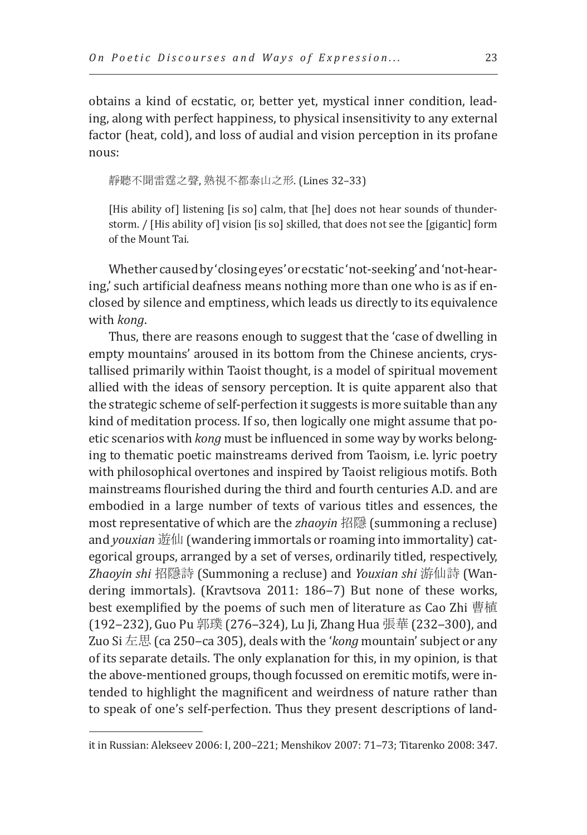obtains a kind of ecstatic, or, better yet, mystical inner condition, leading, along with perfect happiness, to physical insensitivity to any external factor (heat, cold), and loss of audial and vision perception in its profane nous:

靜聽不聞雷霆之聲, 熟視不都泰山之形. (Lines 32–33)

[His ability of] listening [is so] calm, that [he] does not hear sounds of thunderstorm. / [His ability of] vision [is so] skilled, that does not see the [gigantic] form of the Mount Tai.

Whether caused by 'closing eyes' or ecstatic 'not-seeking' and 'not-hearing,' such artificial deafness means nothing more than one who is as if enclosed by silence and emptiness, which leads us directly to its equivalence with *kong*.

Thus, there are reasons enough to suggest that the 'case of dwelling in empty mountains' aroused in its bottom from the Chinese ancients, crystallised primarily within Taoist thought, is a model of spiritual movement allied with the ideas of sensory perception. It is quite apparent also that the strategic scheme of self-perfection it suggests is more suitable than any kind of meditation process. If so, then logically one might assume that poetic scenarios with *kong* must be influenced in some way by works belonging to thematic poetic mainstreams derived from Taoism, i.e. lyric poetry with philosophical overtones and inspired by Taoist religious motifs. Both mainstreams flourished during the third and fourth centuries A.D. and are embodied in a large number of texts of various titles and essences, the most representative of which are the *zhaoyin* 招隱 (summoning a recluse) and *youxian* 遊仙 (wandering immortals or roaming into immortality) categorical groups, arranged by a set of verses, ordinarily titled, respectively, *Zhaoyin shi* 招隱詩 (Summoning a recluse) and *Youxian shi* 游仙詩 (Wandering immortals). (Kravtsova 2011: 186–7) But none of these works, best exemplified by the poems of such men of literature as Cao Zhi 曹植 (192–232), Guo Pu 郭璞 (276–324), Lu Ji, Zhang Hua 張華 (232–300), and Zuo Si 左思 (ca 250–ca 305), deals with the '*kong* mountain' subject or any of its separate details. The only explanation for this, in my opinion, is that the above-mentioned groups, though focussed on eremitic motifs, were intended to highlight the magnificent and weirdness of nature rather than to speak of one's self-perfection. Thus they present descriptions of land-

it in Russian: Alekseev 2006: I, 200-221; Menshikov 2007: 71-73; Titarenko 2008: 347.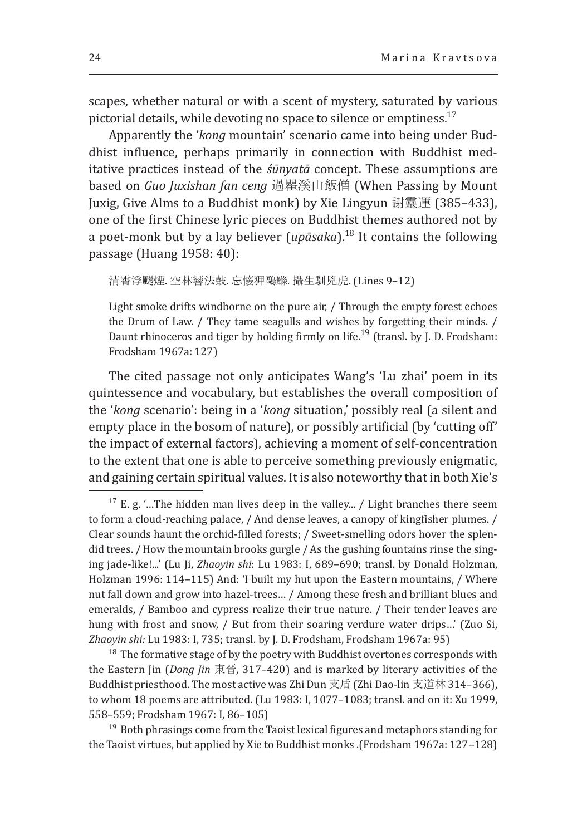scapes, whether natural or with a scent of mystery, saturated by various pictorial details, while devoting no space to silence or emptiness. $17$ 

Apparently the '*kong* mountain' scenario came into being under Buddhist influence, perhaps primarily in connection with Buddhist meditative practices instead of the *śūnyatā* concept. These assumptions are based on *Guo Juxishan fan ceng* 過瞿溪山飯僧 (When Passing by Mount Juxig, Give Alms to a Buddhist monk) by Xie Lingyun 謝靈運 (385–433), one of the first Chinese lyric pieces on Buddhist themes authored not by a poet-monk but by a lay believer (*upāsaka*).<sup>18</sup> It contains the following passage (Huang 1958: 40):

清霄浮颺煙. 空林響法鼓. 忘懷狎鷗鰷. 攝生馴兇虎. (Lines 9–12)

Light smoke drifts windborne on the pure air, / Through the empty forest echoes the Drum of Law. / They tame seagulls and wishes by forgetting their minds. / Daunt rhinoceros and tiger by holding firmly on life.<sup>19</sup> (transl. by J. D. Frodsham: Frodsham 1967a: 127)

The cited passage not only anticipates Wang's 'Lu zhai' poem in its quintessence and vocabulary, but establishes the overall composition of the '*kong* scenario': being in a '*kong* situation,' possibly real (a silent and empty place in the bosom of nature), or possibly artificial (by 'cutting off' the impact of external factors), achieving a moment of self-concentration to the extent that one is able to perceive something previously enigmatic, and gaining certain spiritual values. It is also noteworthy that in both Xie's

 $18$  The formative stage of by the poetry with Buddhist overtones corresponds with the Eastern Jin (*Dong Jin* 東晉, 317–420) and is marked by literary activities of the Buddhist priesthood. The most active was Zhi Dun 支盾 (Zhi Dao-lin 支道林 314–366), to whom 18 poems are attributed. (Lu 1983: I, 1077–1083; transl. and on it: Xu 1999, 558–559; Frodsham 1967: I, 86–105)

<sup>19</sup> Both phrasings come from the Taoist lexical figures and metaphors standing for the Taoist virtues, but applied by Xie to Buddhist monks .(Frodsham 1967a: 127-128)

 $17$  E. g. '...The hidden man lives deep in the valley... / Light branches there seem to form a cloud-reaching palace, / And dense leaves, a canopy of kingfisher plumes. / Clear sounds haunt the orchid-filled forests; / Sweet-smelling odors hover the splendid trees. / How the mountain brooks gurgle / As the gushing fountains rinse the singing jade-like!...' (Lu Ji, *Zhaoyin shi*: Lu 1983: I, 689–690; transl. by Donald Holzman, Holzman 1996: 114-115) And: 'I built my hut upon the Eastern mountains, / Where nut fall down and grow into hazel-trees… / Among these fresh and brilliant blues and emeralds, / Bamboo and cypress realize their true nature. / Their tender leaves are hung with frost and snow, / But from their soaring verdure water drips…' (Zuo Si, *Zhaoyin shi:* Lu 1983: I, 735; transl. by J. D. Frodsham, Frodsham 1967a: 95)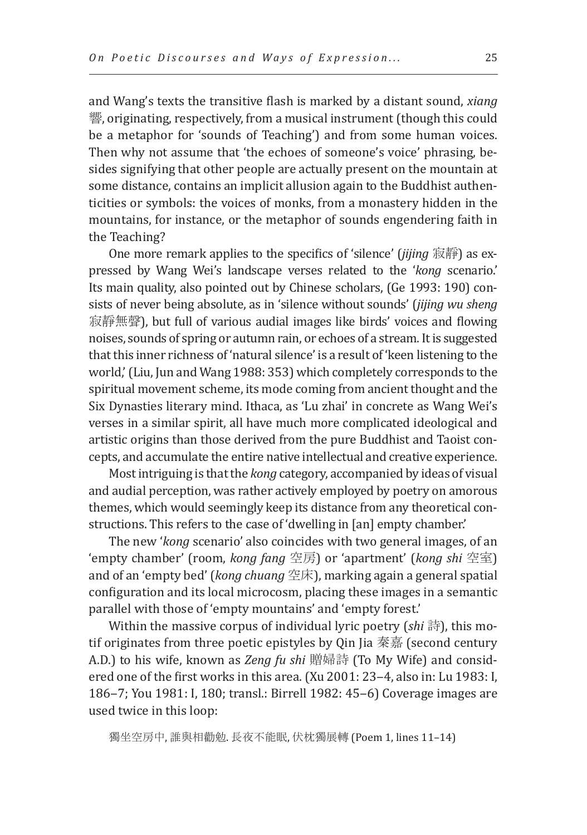and Wang's texts the transitive flash is marked by a distant sound, *xiang*  響, originating, respectively, from a musical instrument (though this could be a metaphor for 'sounds of Teaching') and from some human voices. Then why not assume that 'the echoes of someone's voice' phrasing, besides signifying that other people are actually present on the mountain at some distance, contains an implicit allusion again to the Buddhist authenticities or symbols: the voices of monks, from a monastery hidden in the mountains, for instance, or the metaphor of sounds engendering faith in the Teaching?

One more remark applies to the specifics of 'silence' (*jijing* 寂靜) as expressed by Wang Wei's landscape verses related to the '*kong* scenario.' Its main quality, also pointed out by Chinese scholars, (Ge 1993: 190) consists of never being absolute, as in 'silence without sounds' (*jijing wu sheng*  寂靜無聲), but full of various audial images like birds' voices and flowing noises, sounds of spring or autumn rain, or echoes of a stream. It is suggested that this inner richness of 'natural silence' is a result of 'keen listening to the world,' (Liu, Jun and Wang 1988: 353) which completely corresponds to the spiritual movement scheme, its mode coming from ancient thought and the Six Dynasties literary mind. Ithaca, as 'Lu zhai' in concrete as Wang Wei's verses in a similar spirit, all have much more complicated ideological and artistic origins than those derived from the pure Buddhist and Taoist concepts, and accumulate the entire native intellectual and creative experience.

Most intriguing is that the *kong* category, accompanied by ideas of visual and audial perception, was rather actively employed by poetry on amorous themes, which would seemingly keep its distance from any theoretical constructions. This refers to the case of 'dwelling in [an] empty chamber.'

The new '*kong* scenario' also coincides with two general images, of an 'empty chamber' (room, *kong fang* 空房) or 'apartment' (*kong shi* 空室) and of an 'empty bed' (*kong chuang* 空床), marking again a general spatial configuration and its local microcosm, placing these images in a semantic parallel with those of 'empty mountains' and 'empty forest.'

Within the massive corpus of individual lyric poetry (*shi* 詩), this motif originates from three poetic epistyles by Qin Jia 秦嘉 (second century A.D.) to his wife, known as *Zeng fu shi* 贈婦詩 (To My Wife) and considered one of the first works in this area. (Xu 2001: 23-4, also in: Lu 1983: I, 186-7; You 1981: I, 180; transl.: Birrell 1982: 45-6) Coverage images are used twice in this loop:

獨坐空房中, 誰與相勸勉. 長夜不能眠, 伏枕獨展轉 (Poem 1, lines 11–14)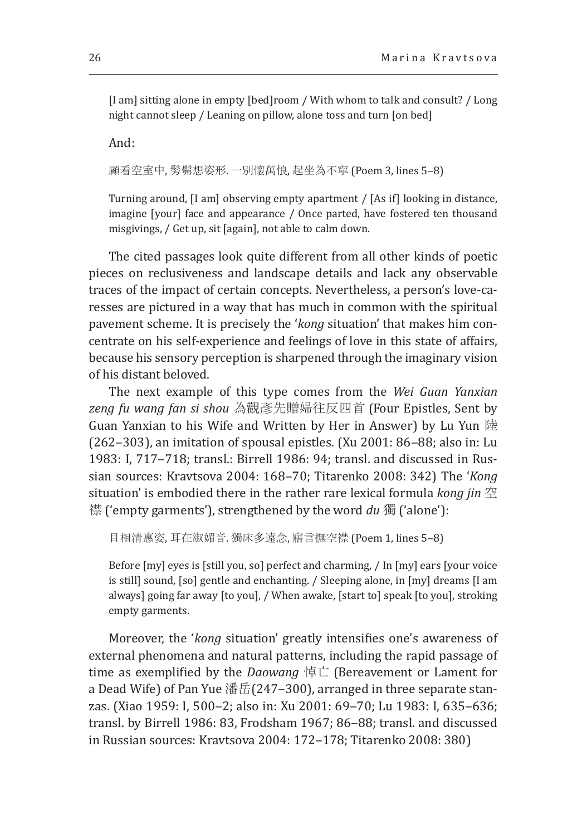[I am] sitting alone in empty [bed]room / With whom to talk and consult? / Long night cannot sleep / Leaning on pillow, alone toss and turn [on bed]

And:

顧看空室中, 髣髴想姿形. 一別懷萬悢, 起坐為不寧 (Poem 3, lines 5–8)

Turning around, [I am] observing empty apartment / [As if] looking in distance, imagine [your] face and appearance / Once parted, have fostered ten thousand misgivings, / Get up, sit [again], not able to calm down.

The cited passages look quite different from all other kinds of poetic pieces on reclusiveness and landscape details and lack any observable traces of the impact of certain concepts. Nevertheless, a person's love-caresses are pictured in a way that has much in common with the spiritual pavement scheme. It is precisely the '*kong* situation' that makes him concentrate on his self-experience and feelings of love in this state of affairs, because his sensory perception is sharpened through the imaginary vision of his distant beloved.

The next example of this type comes from the *Wei Guan Yanxian zeng fu wang fan si shou* 為觀彥先贈婦往反四首 (Four Epistles, Sent by Guan Yanxian to his Wife and Written by Her in Answer) by Lu Yun 陸  $(262-303)$ , an imitation of spousal epistles. (Xu 2001: 86–88; also in: Lu 1983: I, 717-718; transl.: Birrell 1986: 94; transl. and discussed in Russian sources: Kravtsova 2004: 168‒70; Titarenko 2008: 342) The '*Kong*  situation' is embodied there in the rather rare lexical formula *kong jin* 空 襟 ('empty garments'), strengthened by the word *du* 獨 ('alone'):

目相清惠姿, 耳在淑媚音. 獨床多遠念, 寤言撫空襟 (Poem 1, lines 5–8)

Before [my] eyes is [still you, so] perfect and charming, / In [my] ears [your voice is still] sound, [so] gentle and enchanting. / Sleeping alone, in [my] dreams [I am always] going far away [to you], / When awake, [start to] speak [to you], stroking empty garments.

Moreover, the '*kong* situation' greatly intensifies one's awareness of external phenomena and natural patterns, including the rapid passage of time as exemplified by the *Daowang* 悼亡 (Bereavement or Lament for a Dead Wife) of Pan Yue 潘岳(247‒300), arranged in three separate stanzas. (Xiao 1959: I, 500–2; also in: Xu 2001: 69–70; Lu 1983: I, 635–636; transl. by Birrell 1986: 83, Frodsham 1967; 86-88; transl. and discussed in Russian sources: Kravtsova 2004: 172-178; Titarenko 2008: 380)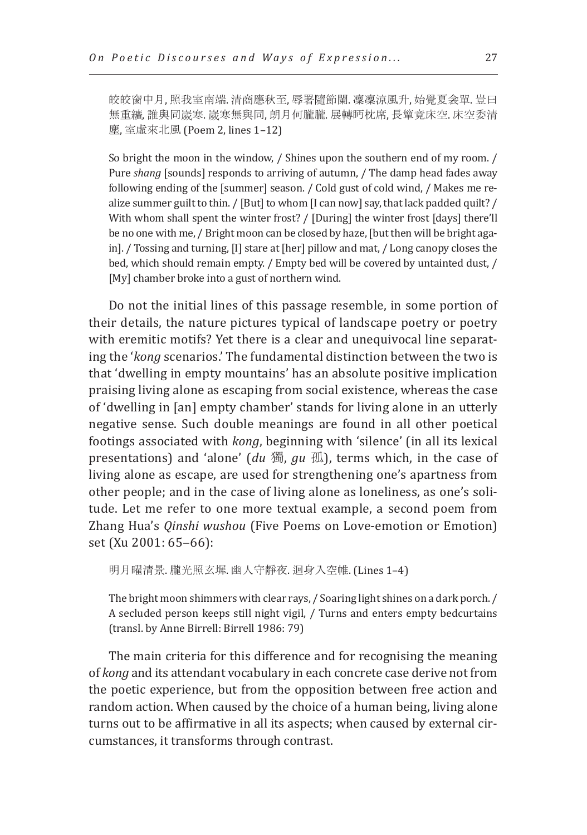皎皎窗中月, 照我室南端. 清商應秋至, 辱署隨節闌. 凜凜涼風升, 始覺夏衾單. 豈曰 無重纊, 誰與同嵗寒. 嵗寒無與同, 朗月何朧朧. 展轉眄枕席, 長簞竟床空. 床空委清 塵, 室虛來北風 (Poem 2, lines 1–12)

So bright the moon in the window, / Shines upon the southern end of my room. / Pure *shang* [sounds] responds to arriving of autumn, / The damp head fades away following ending of the [summer] season. / Cold gust of cold wind, / Makes me realize summer guilt to thin. / [But] to whom [I can now] say, that lack padded quilt? / With whom shall spent the winter frost? / [During] the winter frost [days] there'll be no one with me, / Bright moon can be closed by haze, [but then will be bright again]. / Tossing and turning, [I] stare at [her] pillow and mat, / Long canopy closes the bed, which should remain empty. / Empty bed will be covered by untainted dust, / [My] chamber broke into a gust of northern wind.

Do not the initial lines of this passage resemble, in some portion of their details, the nature pictures typical of landscape poetry or poetry with eremitic motifs? Yet there is a clear and unequivocal line separating the '*kong* scenarios.' The fundamental distinction between the two is that 'dwelling in empty mountains' has an absolute positive implication praising living alone as escaping from social existence, whereas the case of 'dwelling in [an] empty chamber' stands for living alone in an utterly negative sense. Such double meanings are found in all other poetical footings associated with *kong*, beginning with 'silence' (in all its lexical presentations) and 'alone' (*du* 獨, *gu* 孤), terms which, in the case of living alone as escape, are used for strengthening one's apartness from other people; and in the case of living alone as loneliness, as one's solitude. Let me refer to one more textual example, a second poem from Zhang Hua's *Qinshi wushou* (Five Poems on Love-emotion or Emotion) set (Xu 2001: 65-66):

明月曜清景. 朧光照玄墀. 幽人守靜夜. 迴身入空帷. (Lines 1–4)

The bright moon shimmers with clear rays, / Soaring light shines on a dark porch. / A secluded person keeps still night vigil, / Turns and enters empty bedcurtains (transl. by Anne Birrell: Birrell 1986: 79)

The main criteria for this difference and for recognising the meaning of *kong* and its attendant vocabulary in each concrete case derive not from the poetic experience, but from the opposition between free action and random action. When caused by the choice of a human being, living alone turns out to be affirmative in all its aspects; when caused by external circumstances, it transforms through contrast.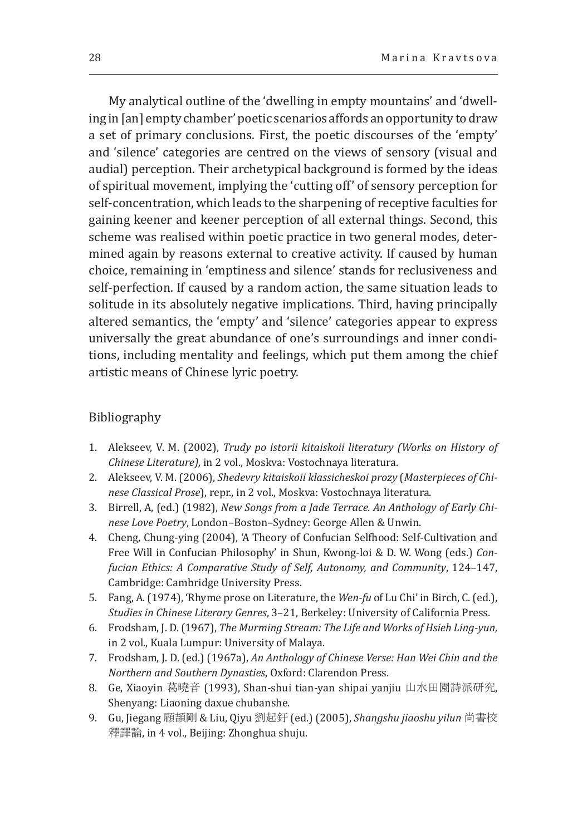My analytical outline of the 'dwelling in empty mountains' and 'dwelling in [an] empty chamber' poetic scenarios affords an opportunity to draw a set of primary conclusions. First, the poetic discourses of the 'empty' and 'silence' categories are centred on the views of sensory (visual and audial) perception. Their archetypical background is formed by the ideas of spiritual movement, implying the 'cutting off' of sensory perception for self-concentration, which leads to the sharpening of receptive faculties for gaining keener and keener perception of all external things. Second, this scheme was realised within poetic practice in two general modes, determined again by reasons external to creative activity. If caused by human choice, remaining in 'emptiness and silence' stands for reclusiveness and self-perfection. If caused by a random action, the same situation leads to solitude in its absolutely negative implications. Third, having principally altered semantics, the 'empty' and 'silence' categories appear to express universally the great abundance of one's surroundings and inner conditions, including mentality and feelings, which put them among the chief artistic means of Chinese lyric poetry.

#### Bibliography

- 1. Alekseev, V. M. (2002), *Trudy po istorii kitaiskoii literatury (Works on History of Chinese Literature),* in 2 vol., Moskva: Vostochnaya literatura.
- 2. Alekseev, V. M. (2006), *Shedevry kitaiskoii klassicheskoi prozy* (*Masterpieces of Chinese Classical Prose*), repr., in 2 vol., Moskva: Vostochnaya literatura.
- 3. Birrell, A, (ed.) (1982), *New Songs from a Jade Terrace. An Anthology of Early Chinese Love Poetry*, London–Boston–Sydney: George Allen & Unwin.
- 4. Cheng, Chung-ying (2004), 'A Theory of Confucian Selfhood: Self-Cultivation and Free Will in Confucian Philosophy' in Shun, Kwong-loi & D. W. Wong (eds.) *Confucian Ethics: A Comparative Study of Self, Autonomy, and Community*, 124–147, Cambridge: Cambridge University Press.
- 5. Fang, A. (1974), 'Rhyme prose on Literature, the *Wen-fu* of Lu Chi' in Birch, C. (ed.), *Studies in Chinese Literary Genres*, 3–21, Berkeley: University of California Press.
- 6. Frodsham, J. D. (1967), *The Murming Stream: The Life and Works of Hsieh Ling-yun,* in 2 vol., Kuala Lumpur: University of Malaya.
- 7. Frodsham, J. D. (ed.) (1967a), *An Anthology of Chinese Verse: Han Wei Chin and the Northern and Southern Dynasties*, Oxford: Clarendon Press.
- 8. Ge, Xiaoyin 葛曉音 (1993), Shan-shui tian-yan shipai yanjiu 山水田園詩派研究, Shenyang: Liaoning daxue chubanshe.
- 9. Gu, Jiegang 顧頡剛 & Liu, Qiyu 劉起釪 (ed.) (2005), *Shangshu jiaoshu yilun* 尚書校 釋譯論, in 4 vol., Beijing: Zhonghua shuju.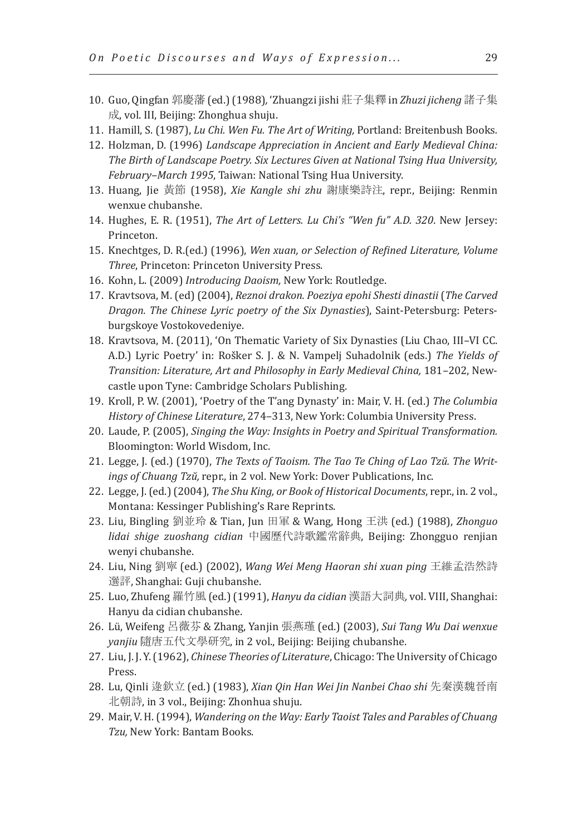- 10. Guo, Qingfan 郭慶藩 (ed.) (1988)*,* 'Zhuangzi jishi 莊子集釋 in *Zhuzi jicheng* 諸子集 成, vol. III, Beijing: Zhonghua shuju.
- 11. Hamill, S. (1987), *Lu Chi. Wen Fu. The Art of Writing,* Portland: Breitenbush Books*.*
- 12. Holzman, D. (1996) *Landscape Appreciation in Ancient and Early Medieval China: The Birth of Landscape Poetry. Six Lectures Given at National Tsing Hua University, February–March 1995*, Taiwan: National Tsing Hua University.
- 13. Huang, Jie 黃節 (1958), *Xie Kangle shi zhu* 謝康樂詩注, repr., Beijing: Renmin wenxue chubanshe.
- 14. Hughes, E. R. (1951), *The Art of Letters. Lu Chi's "Wen fu" A.D. 320*. New Jersey: Princeton.
- 15. Knechtges, D. R.(ed.) (1996), *Wen xuan, or Selection of Refined Literature, Volume Three*, Princeton: Princeton University Press.
- 16. Kohn, L. (2009) *Introducing Daoism,* New York: Routledge.
- 17. Kravtsova, M. (ed) (2004), *Reznoi drakon. Poeziya epohi Shesti dinastii* (*The Carved Dragon. The Chinese Lyric poetry of the Six Dynasties*), Saint-Petersburg: Petersburgskoye Vostokovedeniye.
- 18. Kravtsova, M. (2011), 'On Thematic Variety of Six Dynasties (Liu Сhao, III–VI CC. A.D.) Lyric Poetry' in: Rošker S. J. & N. Vampelj Suhadolnik (eds.) *The Yields of Transition: Literature, Art and Philosophy in Early Medieval China,* 181–202, Newcastle upon Tyne: Cambridge Scholars Publishing.
- 19. Kroll, P. W. (2001), 'Poetry of the T'ang Dynasty' in: Mair, V. H. (ed.) *The Columbia History of Chinese Literature*, 274–313, New York: Columbia University Press.
- 20. Laude, P. (2005), *Singing the Way: Insights in Poetry and Spiritual Transformation.* Bloomington: World Wisdom, Inc.
- 21. Legge, J. (ed.) (1970), *The Texts of Taoism. The Tao Te Ching of Lao Tzŭ. The Writings of Chuang Tzŭ,* repr., in 2 vol. New York: Dover Publications, Inc.
- 22. Legge, J. (ed.) (2004), *The Shu King, or Book of Historical Documents*, repr., in. 2 vol., Montana: Kessinger Publishing's Rare Reprints.
- 23. Liu, Bingling 劉並玲 & Tian, Jun 田軍 & Wang, Hong 王洪 (ed.) (1988), *Zhonguo lidai shige zuoshang cidian* 中國歷代詩歌鑑常辭典, Beijing: Zhongguo renjian wenyi chubanshe.
- 24. Liu, Ning 劉寧 (ed.) (2002), *Wang Wei Meng Haoran shi xuan ping* 王維孟浩然詩 選評, Shanghai: Guji chubanshe.
- 25. Luo, Zhufeng 羅竹風 (ed.) (1991), *Hanyu da cidian* 漢語大詞典*,* vol. VIII, Shanghai: Hanyu da cidian chubanshe.
- 26. Lü, Weifeng 呂薇芬 & Zhang, Yanjin 張燕瑾 (ed.) (2003), *Sui Tang Wu Dai wenxue yanjiu* 隨唐五代文學研究, in 2 vol., Beijing: Beijing chubanshe.
- 27. Liu, J. J. Y. (1962), *Chinese Theories of Literature*, Chicago: The University of Chicago Press.
- 28. Lu, Qinli 逯欽立 (ed.) (1983), *Xian Qin Han Wei Jin Nanbei Chao shi* 先秦漢魏晉南 北朝詩, in 3 vol., Beijing: Zhonhua shuju.
- 29. Mair, V. H. (1994), *Wandering on the Way: Early Taoist Tales and Parables of Chuang Tzu,* New York: Bantam Books.